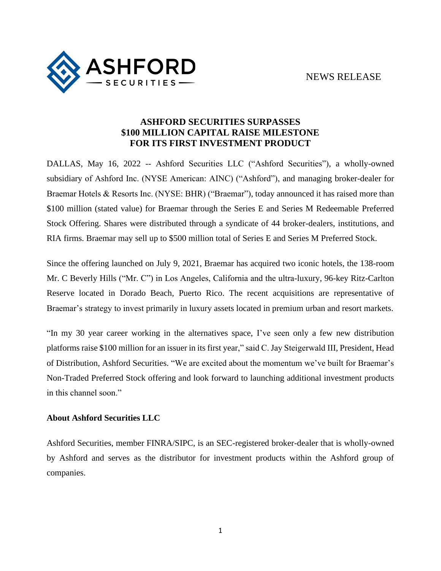NEWS RELEASE



# **ASHFORD SECURITIES SURPASSES \$100 MILLION CAPITAL RAISE MILESTONE FOR ITS FIRST INVESTMENT PRODUCT**

DALLAS, May 16, 2022 -- Ashford Securities LLC ("Ashford Securities"), a wholly-owned subsidiary of Ashford Inc. (NYSE American: AINC) ("Ashford"), and managing broker-dealer for Braemar Hotels & Resorts Inc. (NYSE: BHR) ("Braemar"), today announced it has raised more than \$100 million (stated value) for Braemar through the Series E and Series M Redeemable Preferred Stock Offering. Shares were distributed through a syndicate of 44 broker-dealers, institutions, and RIA firms. Braemar may sell up to \$500 million total of Series E and Series M Preferred Stock.

Since the offering launched on July 9, 2021, Braemar has acquired two iconic hotels, the 138-room Mr. C Beverly Hills ("Mr. C") in Los Angeles, California and the ultra-luxury, 96-key Ritz-Carlton Reserve located in Dorado Beach, Puerto Rico. The recent acquisitions are representative of Braemar's strategy to invest primarily in luxury assets located in premium urban and resort markets.

"In my 30 year career working in the alternatives space, I've seen only a few new distribution platforms raise \$100 million for an issuer in its first year," said C. Jay Steigerwald III, President, Head of Distribution, Ashford Securities. "We are excited about the momentum we've built for Braemar's Non-Traded Preferred Stock offering and look forward to launching additional investment products in this channel soon."

## **About Ashford Securities LLC**

Ashford Securities, member FINRA/SIPC, is an SEC-registered broker-dealer that is wholly-owned by Ashford and serves as the distributor for investment products within the Ashford group of companies.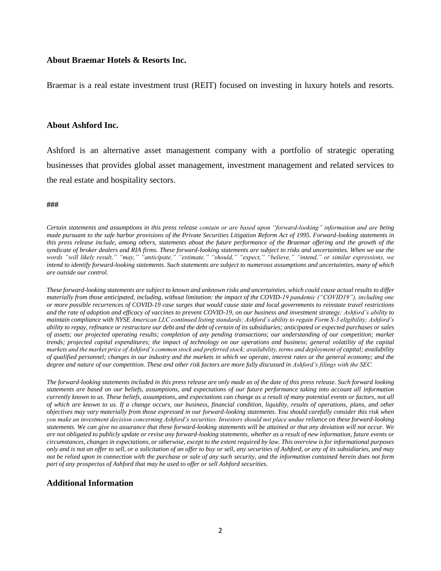#### **About Braemar Hotels & Resorts Inc.**

Braemar is a real estate investment trust (REIT) focused on investing in luxury hotels and resorts.

#### **About Ashford Inc.**

Ashford is an alternative asset management company with a portfolio of strategic operating businesses that provides global asset management, investment management and related services to the real estate and hospitality sectors.

**###**

*Certain statements and assumptions in this press release contain or are based upon "forward-looking" information and are being made pursuant to the safe harbor provisions of the Private Securities Litigation Reform Act of 1995. Forward-looking statements in this press release include, among others, statements about the future performance of the Braemar offering and the growth of the syndicate of broker dealers and RIA firms. These forward-looking statements are subject to risks and uncertainties. When we use the words "will likely result," "may," "anticipate," "estimate," "should," "expect," "believe," "intend," or similar expressions, we intend to identify forward-looking statements. Such statements are subject to numerous assumptions and uncertainties, many of which are outside our control.*

*These forward-looking statements are subject to known and unknown risks and uncertainties, which could cause actual results to differ materially from those anticipated, including, without limitation: the impact of the COVID-19 pandemic ("COVID19"), including one or more possible recurrences of COVID-19 case surges that would cause state and local governments to reinstate travel restrictions and the rate of adoption and efficacy of vaccines to prevent COVID-19, on our business and investment strategy; Ashford's ability to maintain compliance with NYSE American LLC continued listing standards; Ashford's ability to regain Form S-3 eligibility; Ashford's ability to repay, refinance or restructure our debt and the debt of certain of its subsidiaries; anticipated or expected purchases or sales of assets; our projected operating results; completion of any pending transactions; our understanding of our competition; market trends; projected capital expenditures; the impact of technology on our operations and business; general volatility of the capital markets and the market price of Ashford's common stock and preferred stock; availability, terms and deployment of capital; availability of qualified personnel; changes in our industry and the markets in which we operate, interest rates or the general economy; and the degree and nature of our competition. These and other risk factors are more fully discussed in Ashford's filings with the SEC.*

*The forward-looking statements included in this press release are only made as of the date of this press release. Such forward looking statements are based on our beliefs, assumptions, and expectations of our future performance taking into account all information currently known to us. These beliefs, assumptions, and expectations can change as a result of many potential events or factors, not all of which are known to us. If a change occurs, our business, financial condition, liquidity, results of operations, plans, and other objectives may vary materially from those expressed in our forward-looking statements. You should carefully consider this risk when you make an investment decision concerning Ashford's securities. Investors should not place undue reliance on these forward-looking statements. We can give no assurance that these forward-looking statements will be attained or that any deviation will not occur. We are not obligated to publicly update or revise any forward-looking statements, whether as a result of new information, future events or circumstances, changes in expectations, or otherwise, except to the extent required by law. This overview is for informational purposes only and is not an offer to sell, or a solicitation of an offer to buy or sell, any securities of Ashford, or any of its subsidiaries, and may not be relied upon in connection with the purchase or sale of any such security, and the information contained herein does not form part of any prospectus of Ashford that may be used to offer or sell Ashford securities.*

### **Additional Information**